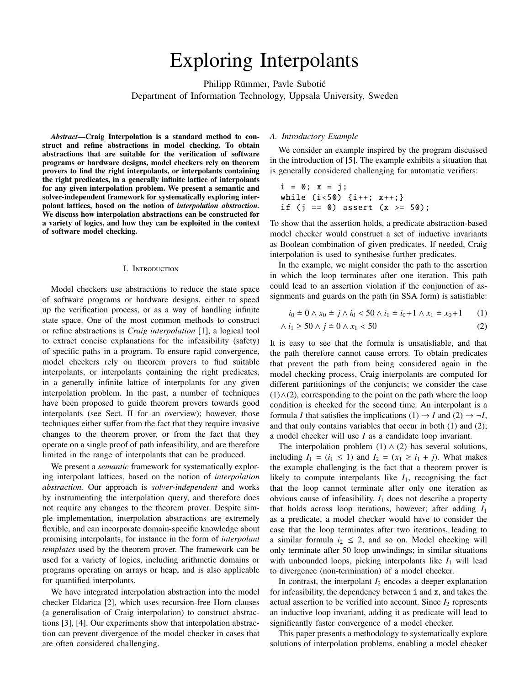# Exploring Interpolants

Philipp Rümmer, Pavle Subotić

Department of Information Technology, Uppsala University, Sweden

*Abstract*—Craig Interpolation is a standard method to construct and refine abstractions in model checking. To obtain abstractions that are suitable for the verification of software programs or hardware designs, model checkers rely on theorem provers to find the right interpolants, or interpolants containing the right predicates, in a generally infinite lattice of interpolants for any given interpolation problem. We present a semantic and solver-independent framework for systematically exploring interpolant lattices, based on the notion of *interpolation abstraction.* We discuss how interpolation abstractions can be constructed for a variety of logics, and how they can be exploited in the context of software model checking.

#### I. Introduction

Model checkers use abstractions to reduce the state space of software programs or hardware designs, either to speed up the verification process, or as a way of handling infinite state space. One of the most common methods to construct or refine abstractions is *Craig interpolation* [1], a logical tool to extract concise explanations for the infeasibility (safety) of specific paths in a program. To ensure rapid convergence, model checkers rely on theorem provers to find suitable interpolants, or interpolants containing the right predicates, in a generally infinite lattice of interpolants for any given interpolation problem. In the past, a number of techniques have been proposed to guide theorem provers towards good interpolants (see Sect. II for an overview); however, those techniques either suffer from the fact that they require invasive changes to the theorem prover, or from the fact that they operate on a single proof of path infeasibility, and are therefore limited in the range of interpolants that can be produced.

We present a *semantic* framework for systematically exploring interpolant lattices, based on the notion of *interpolation abstraction.* Our approach is *solver-independent* and works by instrumenting the interpolation query, and therefore does not require any changes to the theorem prover. Despite simple implementation, interpolation abstractions are extremely flexible, and can incorporate domain-specific knowledge about promising interpolants, for instance in the form of *interpolant templates* used by the theorem prover. The framework can be used for a variety of logics, including arithmetic domains or programs operating on arrays or heap, and is also applicable for quantified interpolants.

We have integrated interpolation abstraction into the model checker Eldarica [2], which uses recursion-free Horn clauses (a generalisation of Craig interpolation) to construct abstractions [3], [4]. Our experiments show that interpolation abstraction can prevent divergence of the model checker in cases that are often considered challenging.

## *A. Introductory Example*

We consider an example inspired by the program discussed in the introduction of [5]. The example exhibits a situation that is generally considered challenging for automatic verifiers:

 $i = 0; x = j;$ while  $(i < 50)$   $\{i++; x++; \}$ if (j == 0) assert  $(x > = 50)$ ;

To show that the assertion holds, a predicate abstraction-based model checker would construct a set of inductive invariants as Boolean combination of given predicates. If needed, Craig interpolation is used to synthesise further predicates.

In the example, we might consider the path to the assertion in which the loop terminates after one iteration. This path could lead to an assertion violation if the conjunction of assignments and guards on the path (in SSA form) is satisfiable:

$$
i_0 = 0 \land x_0 = j \land i_0 < 50 \land i_1 = i_0 + 1 \land x_1 = x_0 + 1 \tag{1}
$$

$$
\wedge i_1 \ge 50 \wedge j = 0 \wedge x_1 < 50 \tag{2}
$$

It is easy to see that the formula is unsatisfiable, and that the path therefore cannot cause errors. To obtain predicates that prevent the path from being considered again in the model checking process, Craig interpolants are computed for different partitionings of the conjuncts; we consider the case  $(1) \wedge (2)$ , corresponding to the point on the path where the loop condition is checked for the second time. An interpolant is a formula *I* that satisfies the implications  $(1) \rightarrow I$  and  $(2) \rightarrow \neg I$ , and that only contains variables that occur in both (1) and (2); a model checker will use *I* as a candidate loop invariant.

The interpolation problem (1)  $\land$  (2) has several solutions, including  $I_1 = (i_1 \le 1)$  and  $I_2 = (x_1 \ge i_1 + j)$ . What makes the example challenging is the fact that a theorem prover is likely to compute interpolants like  $I_1$ , recognising the fact that the loop cannot terminate after only one iteration as obvious cause of infeasibility.  $I_1$  does not describe a property that holds across loop iterations, however; after adding *I*<sup>1</sup> as a predicate, a model checker would have to consider the case that the loop terminates after two iterations, leading to a similar formula  $i_2 \leq 2$ , and so on. Model checking will only terminate after 50 loop unwindings; in similar situations with unbounded loops, picking interpolants like  $I_1$  will lead to divergence (non-termination) of a model checker.

In contrast, the interpolant  $I_2$  encodes a deeper explanation for infeasibility, the dependency between i and x, and takes the actual assertion to be verified into account. Since  $I_2$  represents an inductive loop invariant, adding it as predicate will lead to significantly faster convergence of a model checker.

This paper presents a methodology to systematically explore solutions of interpolation problems, enabling a model checker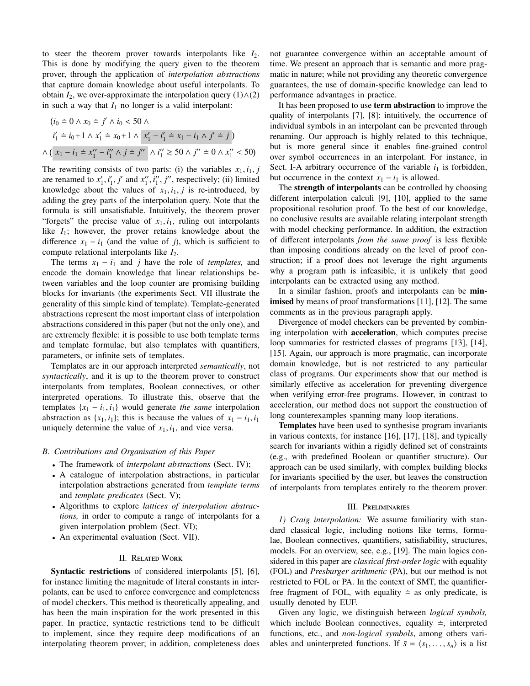to steer the theorem prover towards interpolants like  $I_2$ . This is done by modifying the query given to the theorem prover, through the application of *interpolation abstractions* that capture domain knowledge about useful interpolants. To obtain  $I_2$ , we over-approximate the interpolation query  $(1) \wedge (2)$ in such a way that  $I_1$  no longer is a valid interpolant:

$$
(i_0 \doteq 0 \land x_0 \doteq j' \land i_0 < 50 \land \n i'_1 \doteq i_0 + 1 \land x'_1 \doteq x_0 + 1 \land x'_1 - i'_1 \doteq x_1 - i_1 \land j' \doteq j
$$
\n
$$
\land \left( x_1 - i_1 \doteq x''_1 - i''_1 \land j \doteq j'' \land i''_1 \ge 50 \land j'' \doteq 0 \land x''_1 < 50 \right)
$$

The rewriting consists of two parts: (i) the variables  $x_1, i_1, j$ are renamed to  $x'_1$ ,  $i'_1$ ,  $j'$  and  $x''_1$ ,  $i''_1$ ,  $j''$ , respectively; (ii) limited<br>knowledge about the values of  $x_i$ , *i*, *i* is re-introduced by knowledge about the values of  $x_1$ ,  $i_1$ ,  $j$  is re-introduced, by adding the grey parts of the interpolation query. Note that the formula is still unsatisfiable. Intuitively, the theorem prover "forgets" the precise value of  $x_1$ ,  $i_1$ , ruling out interpolants like *I*1; however, the prover retains knowledge about the difference  $x_1 - i_1$  (and the value of *j*), which is sufficient to compute relational interpolants like *I*2.

The terms  $x_1 - i_1$  and *j* have the role of *templates*, and encode the domain knowledge that linear relationships between variables and the loop counter are promising building blocks for invariants (the experiments Sect. VII illustrate the generality of this simple kind of template). Template-generated abstractions represent the most important class of interpolation abstractions considered in this paper (but not the only one), and are extremely flexible: it is possible to use both template terms and template formulae, but also templates with quantifiers, parameters, or infinite sets of templates.

Templates are in our approach interpreted *semantically*, not *syntactically*, and it is up to the theorem prover to construct interpolants from templates, Boolean connectives, or other interpreted operations. To illustrate this, observe that the templates  $\{x_1 - i_1, i_1\}$  would generate *the same* interpolation abstraction as  $\{x_1, i_1\}$ ; this is because the values of  $x_1 - i_1, i_1$ uniquely determine the value of  $x_1$ ,  $i_1$ , and vice versa.

# *B. Contributions and Organisation of this Paper*

- The framework of *interpolant abstractions* (Sect. IV);
- A catalogue of interpolation abstractions, in particular interpolation abstractions generated from *template terms* and *template predicates* (Sect. V);
- Algorithms to explore *lattices of interpolation abstractions,* in order to compute a range of interpolants for a given interpolation problem (Sect. VI);
- An experimental evaluation (Sect. VII).

# II. Related Work

Syntactic restrictions of considered interpolants [5], [6], for instance limiting the magnitude of literal constants in interpolants, can be used to enforce convergence and completeness of model checkers. This method is theoretically appealing, and has been the main inspiration for the work presented in this paper. In practice, syntactic restrictions tend to be difficult to implement, since they require deep modifications of an interpolating theorem prover; in addition, completeness does

not guarantee convergence within an acceptable amount of time. We present an approach that is semantic and more pragmatic in nature; while not providing any theoretic convergence guarantees, the use of domain-specific knowledge can lead to performance advantages in practice.

It has been proposed to use term abstraction to improve the quality of interpolants [7], [8]: intuitively, the occurrence of individual symbols in an interpolant can be prevented through renaming. Our approach is highly related to this technique, but is more general since it enables fine-grained control over symbol occurrences in an interpolant. For instance, in Sect. I-A arbitrary occurrence of the variable  $i_1$  is forbidden, but occurrence in the context  $x_1 - i_1$  is allowed.

The strength of interpolants can be controlled by choosing different interpolation calculi [9], [10], applied to the same propositional resolution proof. To the best of our knowledge, no conclusive results are available relating interpolant strength with model checking performance. In addition, the extraction of different interpolants *from the same proof* is less flexible than imposing conditions already on the level of proof construction; if a proof does not leverage the right arguments why a program path is infeasible, it is unlikely that good interpolants can be extracted using any method.

In a similar fashion, proofs and interpolants can be **min**imised by means of proof transformations [11], [12]. The same comments as in the previous paragraph apply.

Divergence of model checkers can be prevented by combining interpolation with acceleration, which computes precise loop summaries for restricted classes of programs [13], [14], [15]. Again, our approach is more pragmatic, can incorporate domain knowledge, but is not restricted to any particular class of programs. Our experiments show that our method is similarly effective as acceleration for preventing divergence when verifying error-free programs. However, in contrast to acceleration, our method does not support the construction of long counterexamples spanning many loop iterations.

Templates have been used to synthesise program invariants in various contexts, for instance [16], [17], [18], and typically search for invariants within a rigidly defined set of constraints (e.g., with predefined Boolean or quantifier structure). Our approach can be used similarly, with complex building blocks for invariants specified by the user, but leaves the construction of interpolants from templates entirely to the theorem prover.

## III. Preliminaries

*1) Craig interpolation:* We assume familiarity with standard classical logic, including notions like terms, formulae, Boolean connectives, quantifiers, satisfiability, structures, models. For an overview, see, e.g., [19]. The main logics considered in this paper are *classical first-order logic* with equality (FOL) and *Presburger arithmetic* (PA), but our method is not restricted to FOL or PA. In the context of SMT, the quantifierfree fragment of FOL, with equality  $\dot{=}$  as only predicate, is usually denoted by EUF.

Given any logic, we distinguish between *logical symbols,* which include Boolean connectives, equality  $\dot{=}$ , interpreted functions, etc., and *non-logical symbols*, among others variables and uninterpreted functions. If  $\bar{s} = \langle s_1, \ldots, s_n \rangle$  is a list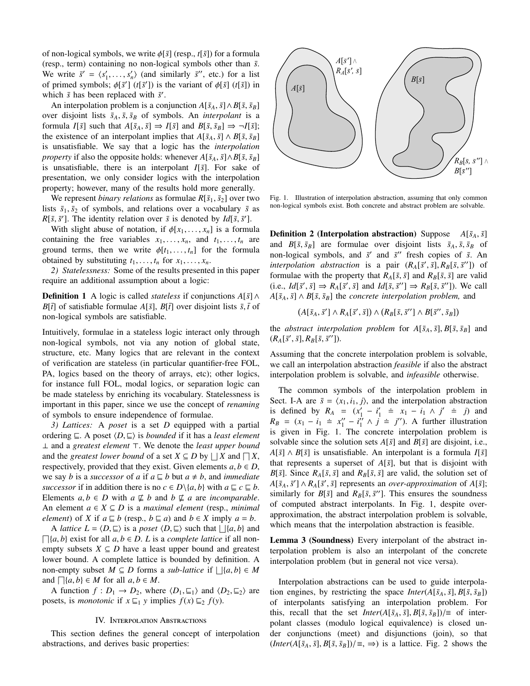of non-logical symbols, we write φ[ ¯*s*] (resp., *<sup>t</sup>*[ ¯*s*]) for a formula (resp., term) containing no non-logical symbols other than ¯*s*. We write  $\bar{s}' = \langle s'_1, \ldots, s'_n \rangle$  (and similarly  $\bar{s}'$ , etc.) for a list of primed symbols:  $\phi[\bar{s}']$  ( $t[\bar{s}']$ ) is the variant of  $\phi[\bar{s}]$  ( $t[\bar{s}]$ ) in of primed symbols;  $\phi[\bar{s}']$  ( $t[\bar{s}']$ ) is the variant of  $\phi[\bar{s}]$  ( $t[\bar{s}]$ ) in which  $\bar{s}$  has been replaced with  $\bar{s}'$ which  $\bar{s}$  has been replaced with  $\bar{s}'$ .

An interpolation problem is a conjunction  $A[\bar{s}_A, \bar{s}] \wedge B[\bar{s}, \bar{s}_B]$ over disjoint lists  $\bar{s}_A$ ,  $\bar{s}$ ,  $\bar{s}_B$  of symbols. An *interpolant* is a formula *I*[ $\bar{s}$ ] such that  $A[\bar{s}_A, \bar{s}] \Rightarrow I[\bar{s}]$  and  $B[\bar{s}, \bar{s}_B] \Rightarrow \neg I[\bar{s}]$ ; the existence of an interpolant implies that  $A[\bar{s}_A, \bar{s}] \wedge B[\bar{s}, \bar{s}_B]$ is unsatisfiable. We say that a logic has the *interpolation property* if also the opposite holds: whenever  $A[\bar{s}_A, \bar{s}] \wedge B[\bar{s}, \bar{s}_B]$ is unsatisfiable, there is an interpolant  $I[\bar{s}]$ . For sake of presentation, we only consider logics with the interpolation property; however, many of the results hold more generally.

We represent *binary relations* as formulae  $R[\bar{s}_1, \bar{s}_2]$  over two lists  $\bar{s}_1$ ,  $\bar{s}_2$  of symbols, and relations over a vocabulary  $\bar{s}$  as *R*[ $\bar{s}$ ,  $\bar{s}'$ ]. The identity relation over  $\bar{s}$  is denoted by *Id*[ $\bar{s}$ ,  $\bar{s}'$ ]. With slight abuse of notation if  $\phi[x_i, \ldots, x_j]$  is a formula

With slight abuse of notation, if  $\phi[x_1, \ldots, x_n]$  is a formula containing the free variables  $x_1, \ldots, x_n$ , and  $t_1, \ldots, t_n$  are ground terms, then we write  $\phi[t_1, \ldots, t_n]$  for the formula obtained by substituting  $t_1, \ldots, t_n$  for  $x_1, \ldots, x_n$ .

*2) Statelessness:* Some of the results presented in this paper require an additional assumption about a logic:

**Definition 1** A logic is called *stateless* if conjunctions  $A[\bar{s}] \wedge$ *B*[ $\bar{t}$ ] of satisfiable formulae *A*[ $\bar{s}$ ], *B*[ $\bar{t}$ ] over disjoint lists  $\bar{s}$ ,  $\bar{t}$  of non-logical symbols are satisfiable.

Intuitively, formulae in a stateless logic interact only through non-logical symbols, not via any notion of global state, structure, etc. Many logics that are relevant in the context of verification are stateless (in particular quantifier-free FOL, PA, logics based on the theory of arrays, etc); other logics, for instance full FOL, modal logics, or separation logic can be made stateless by enriching its vocabulary. Statelessness is important in this paper, since we use the concept of *renaming* of symbols to ensure independence of formulae.

*3) Lattices:* A *poset* is a set *D* equipped with a partial ordering  $\sqsubseteq$ . A poset  $\langle D, \sqsubseteq \rangle$  is *bounded* if it has a *least element* ⊥ and a *greatest element* >. We denote the *least upper bound* and the *greatest lower bound* of a set  $X \subseteq D$  by  $\Box X$  and  $\Box X$ , respectively, provided that they exist. Given elements  $a, b \in D$ , we say *b* is a *successor* of *a* if  $a \sqsubseteq b$  but  $a \neq b$ , and *immediate successor* if in addition there is no  $c \in D \setminus \{a, b\}$  with  $a \sqsubseteq c \sqsubseteq b$ . Elements  $a, b \in D$  with  $a \not\sqsubseteq b$  and  $b \not\sqsubseteq a$  are *incomparable*. An element  $a \in X \subseteq D$  is a *maximal element* (resp., *minimal element*) of *X* if  $a \subseteq b$  (resp.,  $b \subseteq a$ ) and  $b \in X$  imply  $a = b$ .

A *lattice*  $L = \langle D, \sqsubseteq \rangle$  is a *poset*  $\langle D, \sqsubseteq \rangle$  such that  $\sqcup \{a, b\}$  and  $\{a, b\}$  and  $\{a, b\}$  and  $\{a, b \in D, I\}$  is a *complete lattice* if all pop- $\lceil \lceil \{a, b\} \rceil$  exist for all  $a, b \in D$ . *L* is a *complete lattice* if all non-<br>empty subsets  $X \subseteq D$  have a least upper bound and greatest empty subsets  $X \subseteq D$  have a least upper bound and greatest lower bound. A complete lattice is bounded by definition. A non-empty subset  $M \subseteq D$  forms a *sub-lattice* if  $\bigcup \{a, b\} \in M$ <br>and  $\bigcap \{a, b\} \in M$  for all  $a, b \in M$ and  $\Box{a,b} \in M$  for all  $a, b \in M$ .<br>A function  $f : D_1 \rightarrow D_2$  when

A function  $f: D_1 \to D_2$ , where  $\langle D_1, \underline{\sqsubseteq}_1 \rangle$  and  $\langle D_2, \underline{\sqsubseteq}_2 \rangle$  are posets, is *monotonic* if  $x \sqsubseteq_1 y$  implies  $f(x) \sqsubseteq_2 f(y)$ .

## IV. Interpolation Abstractions

This section defines the general concept of interpolation abstractions, and derives basic properties:



Fig. 1. Illustration of interpolation abstraction, assuming that only common non-logical symbols exist. Both concrete and abstract problem are solvable.

**Definition 2 (Interpolation abstraction)** Suppose  $A[\bar{s}_A, \bar{s}]$ and  $B[\bar{s}, \bar{s}_B]$  are formulae over disjoint lists  $\bar{s}_A$ ,  $\bar{s}$ ,  $\bar{s}_B$  of non-logical symbols, and  $\bar{s}'$  and  $\bar{s}''$  fresh copies of  $\bar{s}$ . An *interpolation abstraction* is a pair  $(R_A[\bar{s}', \bar{s}], R_B[\bar{s}, \bar{s}'])$  of formulae with the property that  $R_A[\bar{s}, \bar{s}]$  and  $R_B[\bar{s}, \bar{s}]$  are valid formulae with the property that  $R_A[\bar{s}, \bar{s}]$  and  $R_B[\bar{s}, \bar{s}]$  are valid  $(i.e., Id[\bar{s}', \bar{s}] \Rightarrow R_A[\bar{s}', \bar{s}] \text{ and } Id[\bar{s}, \bar{s}''] \Rightarrow R_B[\bar{s}, \bar{s}'])$ . We call  $A[\bar{s}, \bar{s}] \wedge R[\bar{s}, \bar{s}] \text{ the concrete interpolation problem and}$  $A[\bar{s}_A, \bar{s}] \wedge B[\bar{s}, \bar{s}_B]$  the *concrete interpolation problem*, and

$$
(A[\bar{s}_A,\bar{s}'] \wedge R_A[\bar{s}',\bar{s}]) \wedge (R_B[\bar{s},\bar{s}''] \wedge B[\bar{s}'',\bar{s}_B])
$$

the *abstract interpolation problem* for  $A[\bar{s}_A, \bar{s}]$ ,  $B[\bar{s}, \bar{s}_B]$  and  $(R_A[\bar{s}', \bar{s}], R_B[\bar{s}, \bar{s}$ <sup>''</sup>]).

Assuming that the concrete interpolation problem is solvable, we call an interpolation abstraction *feasible* if also the abstract interpolation problem is solvable, and *infeasible* otherwise.

The common symbols of the interpolation problem in Sect. I-A are  $\bar{s} = \langle x_1, i_1, j \rangle$ , and the interpolation abstraction is defined by  $R_A = (x'_1 - i'_1 \pm x_1 - i_1 \wedge j' \pm j)$  and  $R_B = (x_1 - i_1 = x_1'' - i_1'' \wedge j = j'')$ . A further illustration is given in Fig. 1. The concrete interpolation problem is solvable since the solution sets  $A[\bar{s}]$  and  $B[\bar{s}]$  are disjoint, i.e.,  $A[\bar{s}] \wedge B[\bar{s}]$  is unsatisfiable. An interpolant is a formula  $I[\bar{s}]$ that represents a superset of  $A[\bar{s}]$ , but that is disjoint with *B*[ $\bar{s}$ ]. Since  $R_A[\bar{s}, \bar{s}]$  and  $R_B[\bar{s}, \bar{s}]$  are valid, the solution set of  $A[\bar{s}_A, \bar{s}'] \wedge R_A[\bar{s}', \bar{s}]$  represents an *over-approximation* of  $A[\bar{s}]$ ;<br>similarly for  $R[\bar{s}]$  and  $R_{\bar{s}}[\bar{s}'']$ . This ensures the soundness similarly for  $B[\bar{s}]$  and  $R_B[\bar{s}, \bar{s}']$ . This ensures the soundness<br>of computed abstract interpolants. In Fig. 1, despite overof computed abstract interpolants. In Fig. 1, despite overapproximation, the abstract interpolation problem is solvable, which means that the interpolation abstraction is feasible.

Lemma 3 (Soundness) Every interpolant of the abstract interpolation problem is also an interpolant of the concrete interpolation problem (but in general not vice versa).

Interpolation abstractions can be used to guide interpolation engines, by restricting the space  $Inter(A[\bar{s}_A, \bar{s}], B[\bar{s}, \bar{s}_B])$ of interpolants satisfying an interpolation problem. For this, recall that the set *Inter*( $A[\bar{s}_A, \bar{s}]$ ,  $B[\bar{s}, \bar{s}_B]$ )/ $\equiv$  of interpolant classes (modulo logical equivalence) is closed under conjunctions (meet) and disjunctions (join), so that  $(Inter(A[\bar{s}_A, \bar{s}], B[\bar{s}, \bar{s}_B])/\equiv, \Rightarrow)$  is a lattice. Fig. 2 shows the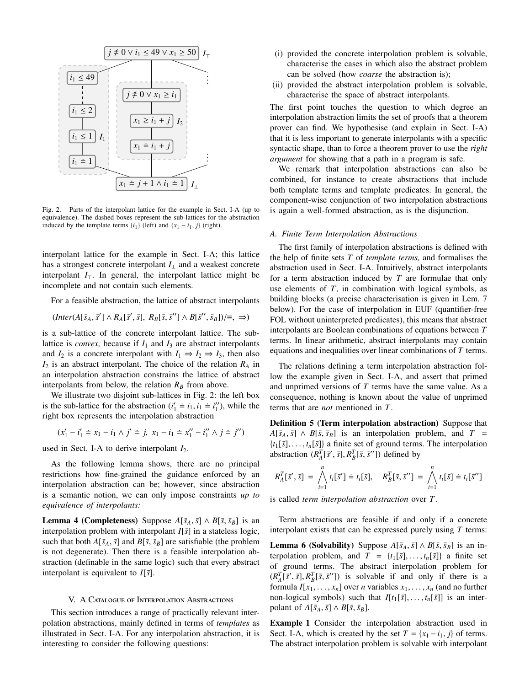

Fig. 2. Parts of the interpolant lattice for the example in Sect. I-A (up to equivalence). The dashed boxes represent the sub-lattices for the abstraction induced by the template terms  $\{i_1\}$  (left) and  $\{x_1 - i_1, j\}$  (right).

interpolant lattice for the example in Sect. I-A; this lattice has a strongest concrete interpolant  $I_{\perp}$  and a weakest concrete interpolant  $I<sub>T</sub>$ . In general, the interpolant lattice might be incomplete and not contain such elements.

For a feasible abstraction, the lattice of abstract interpolants

$$
(Inter(A[\bar{s}_A, \bar{s}'] \wedge R_A[\bar{s}', \bar{s}], R_B[\bar{s}, \bar{s}'] \wedge B[\bar{s}'', \bar{s}_B])/\equiv, \Rightarrow)
$$

is a sub-lattice of the concrete interpolant lattice. The sublattice is *convex*, because if  $I_1$  and  $I_3$  are abstract interpolants and  $I_2$  is a concrete interpolant with  $I_1 \Rightarrow I_2 \Rightarrow I_3$ , then also *I*<sup>2</sup> is an abstract interpolant. The choice of the relation *R<sup>A</sup>* in an interpolation abstraction constrains the lattice of abstract interpolants from below, the relation  $R_B$  from above.

We illustrate two disjoint sub-lattices in Fig. 2: the left box is the sub-lattice for the abstraction  $(i'_1 \neq i_1, i_1 \neq i''_1)$ , while the right box represents the interpolation abstraction right box represents the interpolation abstraction

$$
(x'_1 - i'_1 \doteq x_1 - i_1 \wedge j' \doteq j, \ x_1 - i_1 \doteq x''_1 - i''_1 \wedge j \doteq j'')
$$

used in Sect. I-A to derive interpolant  $I_2$ .

As the following lemma shows, there are no principal restrictions how fine-grained the guidance enforced by an interpolation abstraction can be; however, since abstraction is a semantic notion, we can only impose constraints *up to equivalence of interpolants:*

**Lemma 4 (Completeness)** Suppose  $A[\bar{s}_A, \bar{s}] \wedge B[\bar{s}, \bar{s}_B]$  is an interpolation problem with interpolant  $I[\bar{s}]$  in a stateless logic, such that both  $A[\bar{s}_A, \bar{s}]$  and  $B[\bar{s}, \bar{s}_B]$  are satisfiable (the problem is not degenerate). Then there is a feasible interpolation abstraction (definable in the same logic) such that every abstract interpolant is equivalent to  $I[\bar{s}]$ .

# V. A Catalogue of Interpolation Abstractions

This section introduces a range of practically relevant interpolation abstractions, mainly defined in terms of *templates* as illustrated in Sect. I-A. For any interpolation abstraction, it is interesting to consider the following questions:

- (i) provided the concrete interpolation problem is solvable, characterise the cases in which also the abstract problem can be solved (how *coarse* the abstraction is);
- (ii) provided the abstract interpolation problem is solvable, characterise the space of abstract interpolants.

The first point touches the question to which degree an interpolation abstraction limits the set of proofs that a theorem prover can find. We hypothesise (and explain in Sect. I-A) that it is less important to generate interpolants with a specific syntactic shape, than to force a theorem prover to use the *right argument* for showing that a path in a program is safe.

We remark that interpolation abstractions can also be combined, for instance to create abstractions that include both template terms and template predicates. In general, the component-wise conjunction of two interpolation abstractions is again a well-formed abstraction, as is the disjunction.

### *A. Finite Term Interpolation Abstractions*

The first family of interpolation abstractions is defined with the help of finite sets *T* of *template terms,* and formalises the abstraction used in Sect. I-A. Intuitively, abstract interpolants for a term abstraction induced by *T* are formulae that only use elements of *T*, in combination with logical symbols, as building blocks (a precise characterisation is given in Lem. 7 below). For the case of interpolation in EUF (quantifier-free FOL without uninterpreted predicates), this means that abstract interpolants are Boolean combinations of equations between *T* terms. In linear arithmetic, abstract interpolants may contain equations and inequalities over linear combinations of *T* terms.

The relations defining a term interpolation abstraction follow the example given in Sect. I-A, and assert that primed and unprimed versions of *T* terms have the same value. As a consequence, nothing is known about the value of unprimed terms that are *not* mentioned in *T*.

Definition 5 (Term interpolation abstraction) Suppose that  $A[\bar{s}_A, \bar{s}] \wedge B[\bar{s}, \bar{s}_B]$  is an interpolation problem, and  $T =$  $\{t_1[\bar{s}], \ldots, t_n[\bar{s}]\}$  a finite set of ground terms. The interpolation abstraction  $(R_A^T[\bar{s}', \bar{s}], R_B^T[\bar{s}, \bar{s}'])$  defined by

$$
R_A^T[\bar{s}', \bar{s}] = \bigwedge_{i=1}^n t_i[\bar{s}'] \doteq t_i[\bar{s}], \quad R_B^T[\bar{s}, \bar{s}''] = \bigwedge_{i=1}^n t_i[\bar{s}] \doteq t_i[\bar{s}'']
$$

is called *term interpolation abstraction* over *T*.

Term abstractions are feasible if and only if a concrete interpolant exists that can be expressed purely using *T* terms:

**Lemma 6 (Solvability)** Suppose  $A[\bar{s}_A, \bar{s}] \wedge B[\bar{s}, \bar{s}_B]$  is an interpolation problem, and  $T = \{t_1[\bar{s}], \ldots, t_n[\bar{s}]\}$  a finite set of ground terms. The abstract interpolation problem for  $(R_A^T[\bar{s}', \bar{s}], R_B^T[\bar{s}, \bar{s}'])$  is solvable if and only if there is a<br>formula  $I_{Y}$ ,  $\bar{s}$ ,  $\bar{s}$ ,  $\bar{s}$ ,  $\bar{s}$ ,  $\bar{s}$ ,  $\bar{s}$ ,  $\bar{s}$ ,  $\bar{s}$ ,  $\bar{s}$ ,  $\bar{s}$ ,  $\bar{s}$ ,  $\bar{s}$ ,  $\bar{s}$ ,  $\bar{s}$ ,  $\bar{s}$ ,  $\bar{s}$ ,  $\bar{s}$ ,  $\bar$ formula  $I[x_1, \ldots, x_n]$  over *n* variables  $x_1, \ldots, x_n$  (and no further non-logical symbols) such that  $I[t_1[\bar{s}], \ldots, t_n[\bar{s}]$  is an interpolant of  $A[\bar{s}_A, \bar{s}] \wedge B[\bar{s}, \bar{s}_B].$ 

Example 1 Consider the interpolation abstraction used in Sect. I-A, which is created by the set  $T = \{x_1 - i_1, j\}$  of terms. The abstract interpolation problem is solvable with interpolant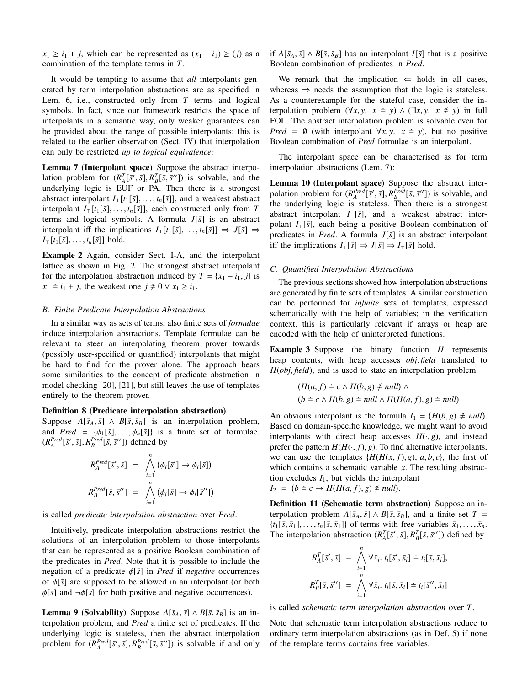$x_1 \geq i_1 + j$ , which can be represented as  $(x_1 - i_1) \geq j$  as a combination of the template terms in *T*.

It would be tempting to assume that *all* interpolants generated by term interpolation abstractions are as specified in Lem. 6, i.e., constructed only from *T* terms and logical symbols. In fact, since our framework restricts the space of interpolants in a semantic way, only weaker guarantees can be provided about the range of possible interpolants; this is related to the earlier observation (Sect. IV) that interpolation can only be restricted *up to logical equivalence:*

Lemma 7 (Interpolant space) Suppose the abstract interpolation problem for  $(R_A^T[\bar{s}', \bar{s}], R_B^T[\bar{s}, \bar{s}'])$  is solvable, and the underlying logic is HIF or PA. Then there is a strongest underlying logic is EUF or PA. Then there is a strongest abstract interpolant  $I_{\perp}[t_1[\bar{s}], \ldots, t_n[\bar{s}]]$ , and a weakest abstract interpolant  $I_{\top}[t_1[\bar{s}], \ldots, t_n[\bar{s}]]$ , each constructed only from *T* terms and logical symbols. A formula  $J[\bar{s}]$  is an abstract interpolant iff the implications  $I_{\perp}[t_1[\bar{s}], \ldots, t_n[\bar{s}]]$  ⇒  $J[\bar{s}]$  ⇒  $I_{\top}[t_1[\bar{s}], \ldots, t_n[\bar{s}]]$  hold.

Example 2 Again, consider Sect. I-A, and the interpolant lattice as shown in Fig. 2. The strongest abstract interpolant for the interpolation abstraction induced by  $T = \{x_1 - i_1, j\}$  is  $x_1 \doteq i_1 + j$ , the weakest one  $j \neq 0 \vee x_1 \geq i_1$ .

# *B. Finite Predicate Interpolation Abstractions*

In a similar way as sets of terms, also finite sets of *formulae* induce interpolation abstractions. Template formulae can be relevant to steer an interpolating theorem prover towards (possibly user-specified or quantified) interpolants that might be hard to find for the prover alone. The approach bears some similarities to the concept of predicate abstraction in model checking [20], [21], but still leaves the use of templates entirely to the theorem prover.

#### Definition 8 (Predicate interpolation abstraction)

Suppose  $A[\bar{s}_A, \bar{s}] \wedge B[\bar{s}, \bar{s}_B]$  is an interpolation problem, and *Pred* =  $\{\phi_1[\bar{s}], \ldots, \phi_n[\bar{s}]\}$  is a finite set of formulae.  $(R_A^{Pred}[\bar{s}', \bar{s}], R_B^{Pred}[\bar{s}, \bar{s}''])$  defined by

$$
R_A^{Pred}[\bar{s}', \bar{s}] = \bigwedge_{i=1}^n (\phi_i[\bar{s}'] \to \phi_i[\bar{s}])
$$
  

$$
R_B^{Pred}[\bar{s}, \bar{s}''] = \bigwedge_{i=1}^n (\phi_i[\bar{s}] \to \phi_i[\bar{s}''])
$$

is called *predicate interpolation abstraction* over *Pred*.

Intuitively, predicate interpolation abstractions restrict the solutions of an interpolation problem to those interpolants that can be represented as a positive Boolean combination of the predicates in *Pred*. Note that it is possible to include the negation of a predicate φ[ ¯*s*] in *Pred* if *negative* occurrences of  $\phi[\bar{s}]$  are supposed to be allowed in an interpolant (or both  $\phi[\bar{s}]$  and  $\neg \phi[\bar{s}]$  for both positive and negative occurrences).

**Lemma 9 (Solvability)** Suppose  $A[\bar{s}_A, \bar{s}] \wedge B[\bar{s}, \bar{s}_B]$  is an interpolation problem, and *Pred* a finite set of predicates. If the underlying logic is stateless, then the abstract interpolation problem for  $(R_A^{Pred}[\bar{s}', \bar{s}], R_B^{Pred}[\bar{s}, \bar{s}'])$  is solvable if and only if *A*[ $\bar{s}_A$ ,  $\bar{s}$ ] ∧ *B*[ $\bar{s}$ ,  $\bar{s}_B$ ] has an interpolant *I*[ $\bar{s}$ ] that is a positive Boolean combination of predicates in *Pred*.

We remark that the implication  $\Leftarrow$  holds in all cases, whereas  $\Rightarrow$  needs the assumption that the logic is stateless. As a counterexample for the stateful case, consider the interpolation problem  $(\forall x, y, x \neq y) \wedge (\exists x, y, x \neq y)$  in full FOL. The abstract interpolation problem is solvable even for *Pred* =  $\emptyset$  (with interpolant  $\forall x, y$ .  $x \neq y$ ), but no positive Boolean combination of *Pred* formulae is an interpolant.

The interpolant space can be characterised as for term interpolation abstractions (Lem. 7):

Lemma 10 (Interpolant space) Suppose the abstract interpolation problem for  $(R^{Pred}_{A}[\bar{s}', \bar{s}], R^{Pred}_{B}[\bar{s}, \bar{s}'])$  is solvable, and<br>the underlying logic is stateless. Then there is a strongest the underlying logic is stateless. Then there is a strongest abstract interpolant  $I_{\perp}[\bar{s}]$ , and a weakest abstract interpolant  $I_{\tau}[\bar{s}]$ , each being a positive Boolean combination of predicates in *Pred*. A formula  $J[\bar{s}]$  is an abstract interpolant iff the implications  $I_{\perp}[\bar{s}] \Rightarrow J[\bar{s}] \Rightarrow I_{\bar{\perp}}[\bar{s}]$  hold.

## *C. Quantified Interpolation Abstractions*

The previous sections showed how interpolation abstractions are generated by finite sets of templates. A similar construction can be performed for *infinite* sets of templates, expressed schematically with the help of variables; in the verification context, this is particularly relevant if arrays or heap are encoded with the help of uninterpreted functions.

Example 3 Suppose the binary function *H* represents heap contents, with heap accesses *obj*. *field* translated to *<sup>H</sup>*(*obj*, *field*), and is used to state an interpolation problem:

$$
(H(a, f) \doteq c \land H(b, g) \neq null) \land (b \doteq c \land H(b, g) \doteq null \land H(H(a, f), g) \doteq null)
$$

An obvious interpolant is the formula  $I_1 = (H(b, g) \neq null)$ .<br>Based on domain-specific knowledge we might want to avoid Based on domain-specific knowledge, we might want to avoid interpolants with direct heap accesses  $H(\cdot, g)$ , and instead prefer the pattern  $H(H(\cdot, f), g)$ . To find alternative interpolants, we can use the templates  $\{H(H(x, f), g), a, b, c\}$ , the first of which contains a schematic variable *x*. The resulting abstraction excludes  $I_1$ , but yields the interpolant

$$
I_2 = (b \doteq c \rightarrow H(H(a, f), g) \neq null).
$$

Definition 11 (Schematic term abstraction) Suppose an interpolation problem  $A[\bar{s}_A, \bar{s}] \wedge B[\bar{s}, \bar{s}_B]$ , and a finite set  $T =$  $\{t_1[\bar{s}, \bar{x}_1], \ldots, t_n[\bar{s}, \bar{x}_1]\}$  of terms with free variables  $\bar{x}_1, \ldots, \bar{x}_n$ . The interpolation abstraction  $(R_A^T[\bar{s}', \bar{s}], R_B^T[\bar{s}, \bar{s}'])$  defined by

$$
R_A^T[\bar{s}', \bar{s}] = \bigwedge_{i=1}^n \forall \bar{x}_i. t_i[\bar{s}', \bar{x}_i] \doteq t_i[\bar{s}, \bar{x}_i],
$$
  

$$
R_B^T[\bar{s}, \bar{s}''] = \bigwedge_{i=1}^n \forall \bar{x}_i. t_i[\bar{s}, \bar{x}_i] \doteq t_i[\bar{s}'', \bar{x}_i]
$$

is called *schematic term interpolation abstraction* over *T*.

Note that schematic term interpolation abstractions reduce to ordinary term interpolation abstractions (as in Def. 5) if none of the template terms contains free variables.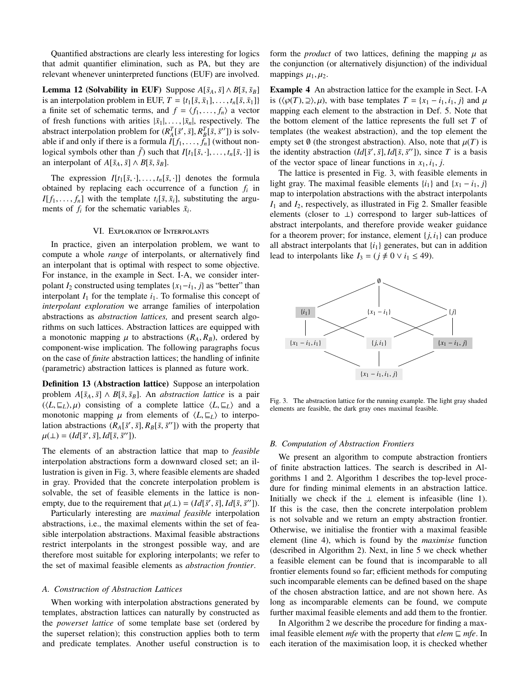Quantified abstractions are clearly less interesting for logics that admit quantifier elimination, such as PA, but they are relevant whenever uninterpreted functions (EUF) are involved.

**Lemma 12 (Solvability in EUF)** Suppose  $A[\bar{s}_A, \bar{s}] \wedge B[\bar{s}, \bar{s}_B]$ is an interpolation problem in EUF,  $T = \{t_1[\bar{s}, \bar{x}_1], \ldots, t_n[\bar{s}, \bar{x}_1]\}$ a finite set of schematic terms, and  $f = \langle f_1, \ldots, f_n \rangle$  a vector of fresh functions with arities  $|\bar{x}_1|, \ldots, |\bar{x}_n|$ , respectively. The abstract interpolation problem for  $(R_A^T[\bar{s}', \bar{s}], R_B^T[\bar{s}, \bar{s}'])$  is solv-<br>able if and only if there is a formula *II f.*  $f_1$  (without popable if and only if there is a formula  $I[f_1, \ldots, f_n]$  (without nonlogical symbols other than  $\bar{f}$ ) such that  $I[t_1[\bar{s}, \cdot], \ldots, t_n[\bar{s}, \cdot]]$  is an interpolant of  $A[\bar{s}_A, \bar{s}] \wedge B[\bar{s}, \bar{s}_B].$ 

The expression  $I[t_1[\bar{s}, \cdot], \ldots, t_n[\bar{s}, \cdot]]$  denotes the formula obtained by replacing each occurrence of a function  $f_i$  in  $I[f_1, \ldots, f_n]$  with the template  $t_i$ [ $\bar{s}$ ,  $\bar{x}_i$ ], substituting the arguments of  $f_i$  for the schematic variables  $\bar{x}_i$ .

# VI. Exploration of Interpolants

In practice, given an interpolation problem, we want to compute a whole *range* of interpolants, or alternatively find an interpolant that is optimal with respect to some objective. For instance, in the example in Sect. I-A, we consider interpolant  $I_2$  constructed using templates  $\{x_1 - i_1, j\}$  as "better" than interpolant  $I_1$  for the template  $i_1$ . To formalise this concept of *interpolant exploration* we arrange families of interpolation abstractions as *abstraction lattices,* and present search algorithms on such lattices. Abstraction lattices are equipped with a monotonic mapping  $\mu$  to abstractions ( $R_A, R_B$ ), ordered by component-wise implication. The following paragraphs focus on the case of *finite* abstraction lattices; the handling of infinite (parametric) abstraction lattices is planned as future work.

Definition 13 (Abstraction lattice) Suppose an interpolation problem  $A[\bar{s}_A, \bar{s}] \wedge B[\bar{s}, \bar{s}_B]$ . An *abstraction lattice* is a pair  $(\langle L, \sqsubseteq_L \rangle, \mu)$  consisting of a complete lattice  $\langle L, \sqsubseteq_L \rangle$  and a monotonic mapping  $\mu$  from elements of  $\langle L, \sqsubseteq_L \rangle$  to interpolation abstractions  $(R_A[\bar{s}', \bar{s}], R_B[\bar{s}, \bar{s}'])$  with the property that  $u(1) = (Id[\bar{s}' \bar{s}]Id[\bar{s}, \bar{s}'])$  $\mu(\perp) = (Id[\bar{s}', \bar{s}], Id[\bar{s}, \bar{s}''])$ .

The elements of an abstraction lattice that map to *feasible* interpolation abstractions form a downward closed set; an illustration is given in Fig. 3, where feasible elements are shaded in gray. Provided that the concrete interpolation problem is solvable, the set of feasible elements in the lattice is nonempty, due to the requirement that  $\mu(\perp) = (Id[\bar{s}', \bar{s}], Id[\bar{s}, \bar{s}'])$ .<br>Particularly interesting are *maximal feasible* internalation

Particularly interesting are *maximal feasible* interpolation abstractions, i.e., the maximal elements within the set of feasible interpolation abstractions. Maximal feasible abstractions restrict interpolants in the strongest possible way, and are therefore most suitable for exploring interpolants; we refer to the set of maximal feasible elements as *abstraction frontier*.

## *A. Construction of Abstraction Lattices*

When working with interpolation abstractions generated by templates, abstraction lattices can naturally by constructed as the *powerset lattice* of some template base set (ordered by the superset relation); this construction applies both to term and predicate templates. Another useful construction is to form the *product* of two lattices, defining the mapping  $\mu$  as the conjunction (or alternatively disjunction) of the individual mappings  $\mu_1, \mu_2$ .

Example 4 An abstraction lattice for the example in Sect. I-A is  $(\langle \varphi(T), \varphi \rangle, \mu)$ , with base templates  $T = \{x_1 - i_1, i_1, j\}$  and  $\mu$ mapping each element to the abstraction in Def. 5. Note that the bottom element of the lattice represents the full set *T* of templates (the weakest abstraction), and the top element the empty set  $\emptyset$  (the strongest abstraction). Also, note that  $\mu(T)$  is the identity abstraction  $(Id[\bar{s}', \bar{s}], Id[\bar{s}, \bar{s}'])$ , since *T* is a basis of the vector space of linear functions in *x*, *i*, *i* of the vector space of linear functions in  $x_1$ ,  $i_1$ ,  $j$ .

The lattice is presented in Fig. 3, with feasible elements in light gray. The maximal feasible elements  $\{i_1\}$  and  $\{x_1 - i_1, j\}$ map to interpolation abstractions with the abstract interpolants *I*<sup>1</sup> and *I*2, respectively, as illustrated in Fig 2. Smaller feasible elements (closer to ⊥) correspond to larger sub-lattices of abstract interpolants, and therefore provide weaker guidance for a theorem prover; for instance, element  $\{i, i_1\}$  can produce all abstract interpolants that  $\{i_1\}$  generates, but can in addition lead to interpolants like  $I_3 = (j \neq 0 \vee i_1 \leq 49)$ .



Fig. 3. The abstraction lattice for the running example. The light gray shaded elements are feasible, the dark gray ones maximal feasible.

# *B. Computation of Abstraction Frontiers*

We present an algorithm to compute abstraction frontiers of finite abstraction lattices. The search is described in Algorithms 1 and 2. Algorithm 1 describes the top-level procedure for finding minimal elements in an abstraction lattice. Initially we check if the  $\perp$  element is infeasible (line 1). If this is the case, then the concrete interpolation problem is not solvable and we return an empty abstraction frontier. Otherwise, we initialise the frontier with a maximal feasible element (line 4), which is found by the *maximise* function (described in Algorithm 2). Next, in line 5 we check whether a feasible element can be found that is incomparable to all frontier elements found so far; efficient methods for computing such incomparable elements can be defined based on the shape of the chosen abstraction lattice, and are not shown here. As long as incomparable elements can be found, we compute further maximal feasible elements and add them to the frontier.

In Algorithm 2 we describe the procedure for finding a maximal feasible element *mfe* with the property that  $elem \sqsubseteq mfe$ . In each iteration of the maximisation loop, it is checked whether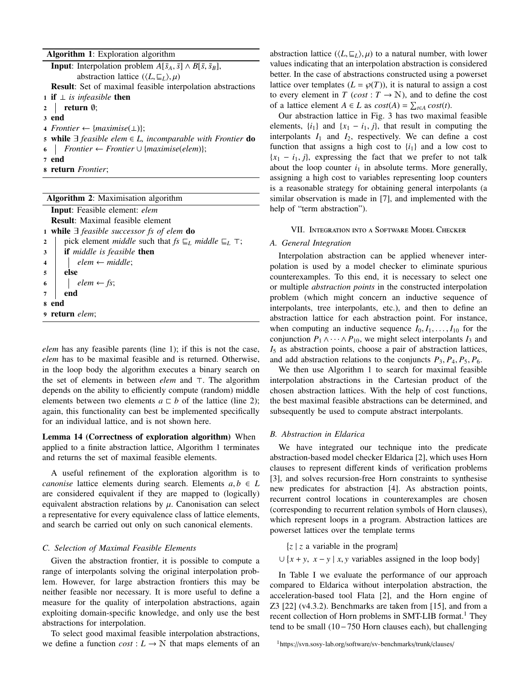Algorithm 1: Exploration algorithm

| <b>Input:</b> Interpolation problem $A[\bar{s}_A, \bar{s}] \wedge B[\bar{s}, \bar{s}_B],$ |
|-------------------------------------------------------------------------------------------|
| abstraction lattice $(\langle L, \sqsubseteq_L \rangle, \mu)$                             |
| <b>Result:</b> Set of maximal feasible interpolation abstractions                         |
| <b>1 if</b> $\perp$ <i>is infeasible</i> then                                             |
| $2$   return $\emptyset$ ;                                                                |
| 3 end                                                                                     |
| 4 Frontier $\leftarrow$ {maximise( $\perp$ )};                                            |
| 5 while $\exists$ feasible elem $\in$ L, incomparable with Frontier do                    |
| 6   Frontier $\leftarrow$ Frontier $\cup$ {maximise(elem)};                               |
| 7 end                                                                                     |
|                                                                                           |

<sup>8</sup> return *Frontier*;

| <b>Algorithm 2:</b> Maximisation algorithm                                                            |  |  |  |  |  |  |  |  |
|-------------------------------------------------------------------------------------------------------|--|--|--|--|--|--|--|--|
| Input: Feasible element: elem                                                                         |  |  |  |  |  |  |  |  |
| <b>Result:</b> Maximal feasible element                                                               |  |  |  |  |  |  |  |  |
| 1 while $\exists$ feasible successor fs of elem do                                                    |  |  |  |  |  |  |  |  |
| pick element <i>middle</i> such that $fs \sqsubseteq_L middle \sqsubseteq_L \top$ ;<br>$\overline{2}$ |  |  |  |  |  |  |  |  |
| if middle is feasible then<br>3                                                                       |  |  |  |  |  |  |  |  |
| $elem \leftarrow middle;$<br>$\overline{4}$                                                           |  |  |  |  |  |  |  |  |
| else<br>5                                                                                             |  |  |  |  |  |  |  |  |
| $elem \leftarrow fs;$<br>6                                                                            |  |  |  |  |  |  |  |  |
| end<br>$\overline{7}$                                                                                 |  |  |  |  |  |  |  |  |
| end<br>8                                                                                              |  |  |  |  |  |  |  |  |
| 9 return elem;                                                                                        |  |  |  |  |  |  |  |  |

*elem* has any feasible parents (line 1); if this is not the case, *elem* has to be maximal feasible and is returned. Otherwise, in the loop body the algorithm executes a binary search on the set of elements in between *elem* and  $\top$ . The algorithm depends on the ability to efficiently compute (random) middle elements between two elements  $a \sqsubset b$  of the lattice (line 2); again, this functionality can best be implemented specifically for an individual lattice, and is not shown here.

# Lemma 14 (Correctness of exploration algorithm) When applied to a finite abstraction lattice, Algorithm 1 terminates and returns the set of maximal feasible elements.

A useful refinement of the exploration algorithm is to *canonise* lattice elements during search. Elements  $a, b \in L$ are considered equivalent if they are mapped to (logically) equivalent abstraction relations by  $\mu$ . Canonisation can select a representative for every equivalence class of lattice elements, and search be carried out only on such canonical elements.

## *C. Selection of Maximal Feasible Elements*

Given the abstraction frontier, it is possible to compute a range of interpolants solving the original interpolation problem. However, for large abstraction frontiers this may be neither feasible nor necessary. It is more useful to define a measure for the quality of interpolation abstractions, again exploiting domain-specific knowledge, and only use the best abstractions for interpolation.

To select good maximal feasible interpolation abstractions, we define a function  $cost: L \rightarrow \mathbb{N}$  that maps elements of an abstraction lattice  $(\langle L, \underline{\sqsubseteq_L} \rangle, \mu)$  to a natural number, with lower values indicating that an interpolation abstraction is considered better. In the case of abstractions constructed using a powerset lattice over templates  $(L = \wp(T))$ , it is natural to assign a cost to every element in *T* (*cost* :  $T \rightarrow \mathbb{N}$ ), and to define the cost of a lattice element  $A \in L$  as  $cost(A) = \sum_{t \in A} cost(t)$ .

Our abstraction lattice in Fig. 3 has two maximal feasible elements,  $\{i_1\}$  and  $\{x_1 - i_1, j\}$ , that result in computing the interpolants  $I_1$  and  $I_2$ , respectively. We can define a cost function that assigns a high cost to  $\{i_1\}$  and a low cost to  ${x_1 - i_1, j}$ , expressing the fact that we prefer to not talk about the loop counter  $i_1$  in absolute terms. More generally, assigning a high cost to variables representing loop counters is a reasonable strategy for obtaining general interpolants (a similar observation is made in [7], and implemented with the help of "term abstraction").

# VII. Integration into a Software Model Checker

# *A. General Integration*

Interpolation abstraction can be applied whenever interpolation is used by a model checker to eliminate spurious counterexamples. To this end, it is necessary to select one or multiple *abstraction points* in the constructed interpolation problem (which might concern an inductive sequence of interpolants, tree interpolants, etc.), and then to define an abstraction lattice for each abstraction point. For instance, when computing an inductive sequence  $I_0, I_1, \ldots, I_{10}$  for the conjunction  $P_1 \wedge \cdots \wedge P_{10}$ , we might select interpolants  $I_3$  and *I*<sup>5</sup> as abstraction points, choose a pair of abstraction lattices, and add abstraction relations to the conjuncts  $P_3$ ,  $P_4$ ,  $P_5$ ,  $P_6$ .

We then use Algorithm 1 to search for maximal feasible interpolation abstractions in the Cartesian product of the chosen abstraction lattices. With the help of cost functions, the best maximal feasible abstractions can be determined, and subsequently be used to compute abstract interpolants.

# *B. Abstraction in Eldarica*

We have integrated our technique into the predicate abstraction-based model checker Eldarica [2], which uses Horn clauses to represent different kinds of verification problems [3], and solves recursion-free Horn constraints to synthesise new predicates for abstraction [4]. As abstraction points, recurrent control locations in counterexamples are chosen (corresponding to recurrent relation symbols of Horn clauses), which represent loops in a program. Abstraction lattices are powerset lattices over the template terms

 $\{z \mid z \text{ a variable in the program}\}\$ 

∪ { $x + y$ ,  $x - y \mid x, y$  variables assigned in the loop body}

In Table I we evaluate the performance of our approach compared to Eldarica without interpolation abstraction, the acceleration-based tool Flata [2], and the Horn engine of Z3 [22] (v4.3.2). Benchmarks are taken from [15], and from a recent collection of Horn problems in SMT-LIB format.<sup>1</sup> They tend to be small (10−750 Horn clauses each), but challenging

<sup>1</sup>https://svn.sosy-lab.org/software/sv-benchmarks/trunk/clauses/